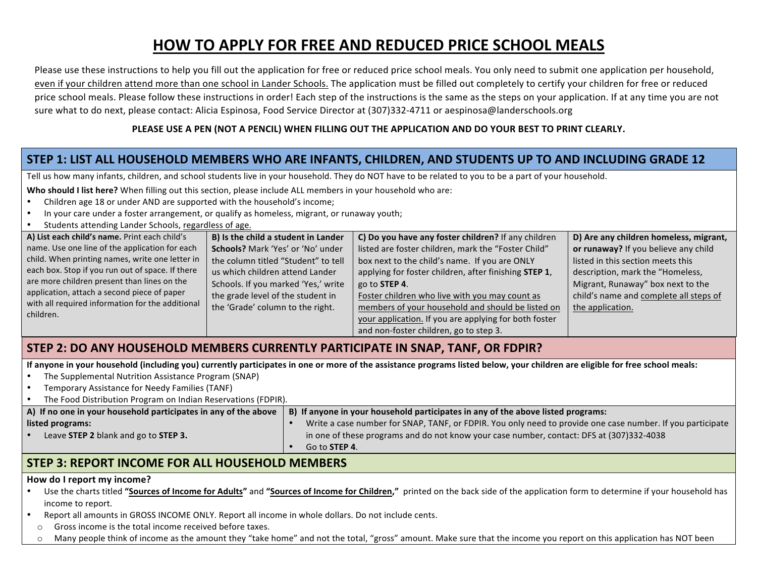# **HOW TO APPLY FOR FREE AND REDUCED PRICE SCHOOL MEALS**

Please use these instructions to help you fill out the application for free or reduced price school meals. You only need to submit one application per household, even if your children attend more than one school in Lander Schools. The application must be filled out completely to certify your children for free or reduced price school meals. Please follow these instructions in order! Each step of the instructions is the same as the steps on your application. If at any time you are not sure what to do next, please contact: Alicia Espinosa, Food Service Director at (307)332-4711 or aespinosa@landerschools.org

### PLEASE USE A PEN (NOT A PENCIL) WHEN FILLING OUT THE APPLICATION AND DO YOUR BEST TO PRINT CLEARLY.

# STEP 1: LIST ALL HOUSEHOLD MEMBERS WHO ARE INFANTS, CHILDREN, AND STUDENTS UP TO AND INCLUDING GRADE 12

Tell us how many infants, children, and school students live in your household. They do NOT have to be related to you to be a part of your household.

**Who should I list here?** When filling out this section, please include ALL members in your household who are:

- Children age 18 or under AND are supported with the household's income;
- In your care under a foster arrangement, or qualify as homeless, migrant, or runaway youth;
- Students attending Lander Schools, regardless of age.

| A) List each child's name. Print each child's    | B) Is the child a student in Lander | C) Do you have any foster children? If any children   | D) Are any children homeless, migrant, |
|--------------------------------------------------|-------------------------------------|-------------------------------------------------------|----------------------------------------|
| name. Use one line of the application for each   | Schools? Mark 'Yes' or 'No' under   | listed are foster children, mark the "Foster Child"   | or runaway? If you believe any child   |
| child. When printing names, write one letter in  | the column titled "Student" to tell | box next to the child's name. If you are ONLY         | listed in this section meets this      |
| each box. Stop if you run out of space. If there | us which children attend Lander     | applying for foster children, after finishing STEP 1, | description, mark the "Homeless,       |
| are more children present than lines on the      | Schools. If you marked 'Yes,' write | go to <b>STEP 4</b> .                                 | Migrant, Runaway" box next to the      |
| application, attach a second piece of paper      | the grade level of the student in   | Foster children who live with you may count as        | child's name and complete all steps of |
| with all required information for the additional | the 'Grade' column to the right.    | members of your household and should be listed on     | the application.                       |
| children.                                        |                                     | your application. If you are applying for both foster |                                        |
|                                                  |                                     | and non-foster children, go to step 3.                |                                        |

## **STEP 2: DO ANY HOUSEHOLD MEMBERS CURRENTLY PARTICIPATE IN SNAP, TANF, OR FDPIR?**

If anyone in your household (including you) currently participates in one or more of the assistance programs listed below, your children are eligible for free school meals:

- The Supplemental Nutrition Assistance Program (SNAP)
- Temporary Assistance for Needy Families (TANF)
- The Food Distribution Program on Indian Reservations (FDPIR).

| A) If no one in your household participates in any of the above | B) If anyone in your household participates in any of the above listed programs:                           |  |  |  |
|-----------------------------------------------------------------|------------------------------------------------------------------------------------------------------------|--|--|--|
| listed programs:                                                | Write a case number for SNAP, TANF, or FDPIR. You only need to provide one case number. If you participate |  |  |  |
| Leave STEP 2 blank and go to STEP 3.                            | in one of these programs and do not know your case number, contact: DFS at (307)332-4038                   |  |  |  |
|                                                                 | Go to <b>STEP 4</b> .                                                                                      |  |  |  |
|                                                                 |                                                                                                            |  |  |  |

# **STEP 3: REPORT INCOME FOR ALL HOUSEHOLD MEMBERS**

#### **How do I report my income?**

- Use the charts titled "Sources of Income for Adults" and "Sources of Income for Children," printed on the back side of the application form to determine if your household has income to report.
- Report all amounts in GROSS INCOME ONLY. Report all income in whole dollars. Do not include cents.
- $\circ$  Gross income is the total income received before taxes.
- $\circ$  Many people think of income as the amount they "take home" and not the total, "gross" amount. Make sure that the income you report on this application has NOT been